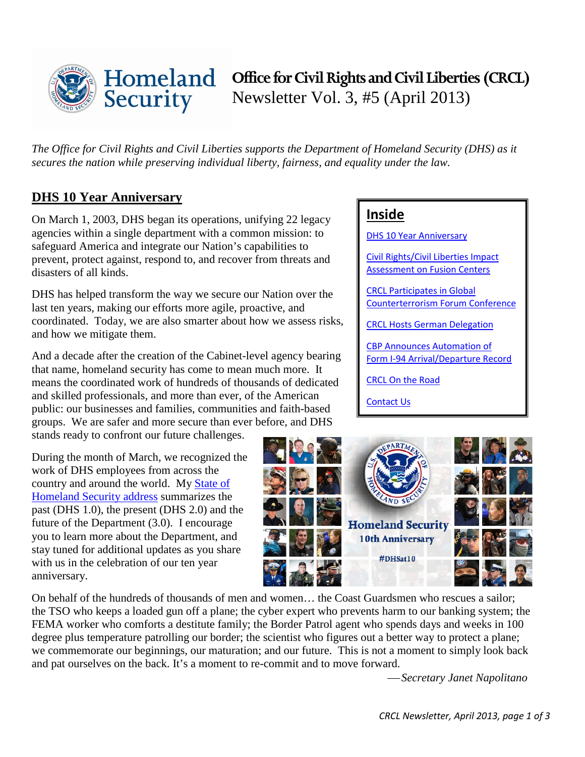

# **Office for Civil Rights and Civil Liberties (CRCL)** Newsletter Vol. 3, #5 (April 2013)

*The Office for Civil Rights and Civil Liberties supports the Department of Homeland Security (DHS) as it secures the nation while preserving individual liberty, fairness, and equality under the law.* 

# <span id="page-0-0"></span>**DHS 10 Year Anniversary**

On March 1, 2003, DHS began its operations, unifying 22 legacy agencies within a single department with a common mission: to safeguard America and integrate our Nation's capabilities to prevent, protect against, respond to, and recover from threats and disasters of all kinds.

DHS has helped transform the way we secure our Nation over the last ten years, making our efforts more agile, proactive, and coordinated. Today, we are also smarter about how we assess risks, and how we mitigate them.

And a decade after the creation of the Cabinet-level agency bearing that name, homeland security has come to mean much more. It means the coordinated work of hundreds of thousands of dedicated and skilled professionals, and more than ever, of the American public: our businesses and families, communities and faith-based groups. We are safer and more secure than ever before, and DHS

stands ready to confront our future challenges.

During the month of March, we recognized the work of DHS employees from across the country and around the world. My [State of](http://www.dhs.gov/news/2013/02/26/secretary-homeland-security-janet-napolitano%E2%80%99s-third-annual-address-state-homeland)  [Homeland Security address](http://www.dhs.gov/news/2013/02/26/secretary-homeland-security-janet-napolitano%E2%80%99s-third-annual-address-state-homeland) summarizes the past (DHS 1.0), the present (DHS 2.0) and the future of the Department (3.0). I encourage you to learn more about the Department, and stay tuned for additional updates as you share with us in the celebration of our ten year anniversary.

# **Inside**

**[DHS 10 Year Anniversary](#page-0-0)** 

[Civil Rights/Civil Liberties Impact](#page-1-0)  [Assessment on](#page-1-0) Fusion Centers

[CRCL Participates in Global](#page-1-1) [Counterterrorism Forum Conference](#page-1-1)

[CRCL Hosts German](#page-1-2) Delegation

[CBP Announces Automation of](#page-2-0)  [Form I-94 Arrival/Departure Record](#page-2-0)

[CRCL On the Road](#page-2-1)

[Contact Us](#page-2-2)



On behalf of the hundreds of thousands of men and women… the Coast Guardsmen who rescues a sailor; the TSO who keeps a loaded gun off a plane; the cyber expert who prevents harm to our banking system; the FEMA worker who comforts a destitute family; the Border Patrol agent who spends days and weeks in 100 degree plus temperature patrolling our border; the scientist who figures out a better way to protect a plane; we commemorate our beginnings, our maturation; and our future. This is not a moment to simply look back and pat ourselves on the back. It's a moment to re-commit and to move forward.

*Secretary Janet Napolitano*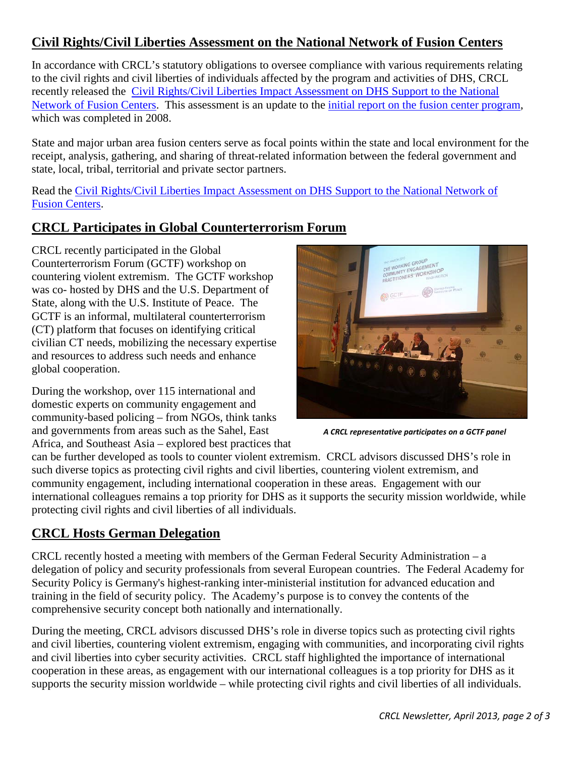# <span id="page-1-0"></span>**Civil Rights/Civil Liberties Assessment on the National Network of Fusion Centers**

In accordance with CRCL's statutory obligations to oversee compliance with various requirements relating to the civil rights and civil liberties of individuals affected by the program and activities of DHS, CRCL recently released the [Civil Rights/Civil Liberties Impact Assessment on DHS Support to the National](http://dhs.gov/sites/default/files/publications/crcl-impact-assessment-national-fusion-centers-2013_0.pdf)  [Network of Fusion Centers.](http://dhs.gov/sites/default/files/publications/crcl-impact-assessment-national-fusion-centers-2013_0.pdf) This assessment is an update to the [initial report on the fusion center program,](http://www.dhs.gov/xlibrary/assets/crcl_civil_liberties_impact_assessment_12_11_08.pdf) which was completed in 2008.

State and major urban area fusion centers serve as focal points within the state and local environment for the receipt, analysis, gathering, and sharing of threat-related information between the federal government and state, local, tribal, territorial and private sector partners.

Read the [Civil Rights/Civil Liberties Impact Assessment on DHS Support to the National Network of](http://dhs.gov/sites/default/files/publications/crcl-impact-assessment-national-fusion-centers-2013_0.pdf)  [Fusion Centers.](http://dhs.gov/sites/default/files/publications/crcl-impact-assessment-national-fusion-centers-2013_0.pdf)

# <span id="page-1-1"></span>**CRCL Participates in Global Counterterrorism Forum**

CRCL recently participated in the Global Counterterrorism Forum (GCTF) workshop on countering violent extremism. The GCTF workshop was co- hosted by DHS and the U.S. Department of State, along with the U.S. Institute of Peace. The GCTF is an informal, multilateral counterterrorism (CT) platform that focuses on identifying critical civilian CT needs, mobilizing the necessary expertise and resources to address such needs and enhance global cooperation.

During the workshop, over 115 international and domestic experts on community engagement and community-based policing – from NGOs, think tanks and governments from areas such as the Sahel, East Africa, and Southeast Asia – explored best practices that



*A CRCL representative participates on a GCTF panel*

can be further developed as tools to counter violent extremism. CRCL advisors discussed DHS's role in such diverse topics as protecting civil rights and civil liberties, countering violent extremism, and community engagement, including international cooperation in these areas. Engagement with our international colleagues remains a top priority for DHS as it supports the security mission worldwide, while protecting civil rights and civil liberties of all individuals.

# <span id="page-1-2"></span>**CRCL Hosts German Delegation**

CRCL recently hosted a meeting with members of the German Federal Security Administration – a delegation of policy and security professionals from several European countries. The Federal Academy for Security Policy is Germany's highest-ranking inter-ministerial institution for advanced education and training in the field of security policy. The Academy's purpose is to convey the contents of the comprehensive security concept both nationally and internationally.

During the meeting, CRCL advisors discussed DHS's role in diverse topics such as protecting civil rights and civil liberties, countering violent extremism, engaging with communities, and incorporating civil rights and civil liberties into cyber security activities. CRCL staff highlighted the importance of international cooperation in these areas, as engagement with our international colleagues is a top priority for DHS as it supports the security mission worldwide – while protecting civil rights and civil liberties of all individuals.